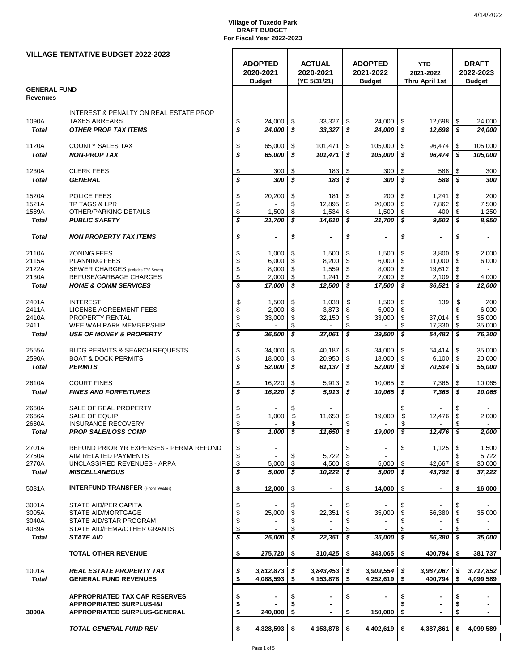|                     | <b>VILLAGE TENTATIVE BUDGET 2022-2023</b>                                   |                         |                             |              |                            |               |                             |                |                         |          |                           |  |
|---------------------|-----------------------------------------------------------------------------|-------------------------|-----------------------------|--------------|----------------------------|---------------|-----------------------------|----------------|-------------------------|----------|---------------------------|--|
|                     |                                                                             |                         | <b>ADOPTED</b><br>2020-2021 |              | <b>ACTUAL</b><br>2020-2021 |               | <b>ADOPTED</b><br>2021-2022 |                | <b>YTD</b><br>2021-2022 |          | <b>DRAFT</b><br>2022-2023 |  |
|                     |                                                                             |                         | <b>Budget</b>               | (YE 5/31/21) |                            | <b>Budget</b> |                             | Thru April 1st |                         |          | <b>Budget</b>             |  |
| <b>GENERAL FUND</b> |                                                                             |                         |                             |              |                            |               |                             |                |                         |          |                           |  |
| <b>Revenues</b>     |                                                                             |                         |                             |              |                            |               |                             |                |                         |          |                           |  |
|                     | <b>INTEREST &amp; PENALTY ON REAL ESTATE PROP</b>                           |                         |                             |              |                            |               |                             |                |                         |          |                           |  |
| 1090A               | <b>TAXES ARREARS</b>                                                        | \$                      | 24,000                      | \$           | 33,327                     | \$            | 24,000                      | \$             | 12,698                  | \$       | 24,000                    |  |
| <b>Total</b>        | <b>OTHER PROP TAX ITEMS</b>                                                 | \$                      | 24,000                      | \$           | 33,327                     | \$            | 24,000                      | \$             | 12,698                  | \$       | 24,000                    |  |
| 1120A               | <b>COUNTY SALES TAX</b>                                                     | \$                      | 65,000                      | \$           |                            |               |                             | \$             |                         |          |                           |  |
| <b>Total</b>        | <b>NON-PROP TAX</b>                                                         | \$                      | 65,000                      | S            | 101,471<br>101,471         | \$<br>\$      | 105,000<br>105,000          | \$             | 96,474<br>96,474        | \$<br>\$ | 105,000<br>105,000        |  |
|                     |                                                                             |                         |                             |              |                            |               |                             |                |                         |          |                           |  |
| 1230A               | <b>CLERK FEES</b>                                                           | \$                      | 300                         | \$           | 183                        | \$            | 300                         | \$             | 588                     | \$       | 300                       |  |
| <b>Total</b>        | <b>GENERAL</b>                                                              | \$                      | 300                         | \$           | 183                        | \$            | 300                         | \$             | 588                     | s        | 300                       |  |
| 1520A               | POLICE FEES                                                                 | \$                      | 20,200                      | \$           | 181                        | \$            | 200                         | \$             | 1,241                   | \$       | 200                       |  |
| 1521A               | TP TAGS & LPR                                                               | \$                      |                             | \$           | 12,895                     | \$            | 20,000                      | \$             | 7,862                   | S        | 7,500                     |  |
| 1589A               | OTHER/PARKING DETAILS                                                       | \$                      | 1,500                       | \$           | 1,534                      | \$            | 1,500                       | \$             | 400                     | \$       | 1,250                     |  |
| <b>Total</b>        | <b>PUBLIC SAFETY</b>                                                        | \$                      | 21,700                      | \$           | 14,610                     | \$            | 21,700                      | \$             | 9,503                   | \$       | 8,950                     |  |
| <b>Total</b>        | <b>NON PROPERTY TAX ITEMS</b>                                               | \$                      |                             | \$           | $\overline{a}$             | \$            | $\overline{a}$              | \$             |                         | \$       |                           |  |
| 2110A               | <b>ZONING FEES</b>                                                          | \$                      | 1,000                       | \$           | 1,500                      | \$            | 1,500                       | \$             | 3,800                   | \$       | 2,000                     |  |
| 2115A               | <b>PLANNING FEES</b>                                                        | \$                      | 6,000                       | \$           | 8,200                      | \$            | 6,000                       | \$             | 11,000                  | \$       | 6,000                     |  |
| 2122A               | <b>SEWER CHARGES</b> (Includes TPS Sewer)                                   | \$                      | 8,000                       | \$           | 1,559                      | \$            | 8,000                       | \$             | 19,612                  | -\$      |                           |  |
| 2130A               | REFUSE/GARBAGE CHARGES                                                      | \$                      | 2,000                       | \$           | 1,241                      | \$            | 2,000                       | \$             | 2,109                   | \$       | 4,000                     |  |
| <b>Total</b>        | <b>HOME &amp; COMM SERVICES</b>                                             | $\overline{\mathbf{s}}$ | 17,000                      | \$           | 12,500                     | \$            | 17,500                      | \$             | 36,521                  | \$       | 12,000                    |  |
| 2401A               | <b>INTEREST</b>                                                             | \$                      | 1,500                       | \$           | 1,038                      | \$            | 1,500                       | \$             | 139                     | \$       | 200                       |  |
| 2411A               | LICENSE AGREEMENT FEES                                                      | \$                      | 2,000                       | \$           | 3,873                      | \$            | 5,000                       | \$             |                         |          | 6,000                     |  |
| 2410A               | PROPERTY RENTAL                                                             | \$                      | 33,000                      | \$           | 32,150                     | \$            | 33,000                      | \$             | 37,014                  | \$       | 35,000                    |  |
| 2411                | WEE WAH PARK MEMBERSHIP                                                     | \$                      |                             | \$           |                            | \$            |                             | \$             | 17,330                  | \$       | 35,000                    |  |
| <b>Total</b>        | <b>USE OF MONEY &amp; PROPERTY</b>                                          | \$                      | 36,500                      | \$           | 37,061                     | \$            | 39,500                      | \$             | 54,483                  | \$       | 76,200                    |  |
| 2555A               | <b>BLDG PERMITS &amp; SEARCH REQUESTS</b>                                   | \$                      | 34,000                      | \$           | 40,187                     | \$            | 34,000                      | \$             | 64,414                  | \$       | 35,000                    |  |
| 2590A               | <b>BOAT &amp; DOCK PERMITS</b>                                              | \$                      | 18,000                      | \$           | 20,950                     | \$            | 18,000                      | \$             | 6,100                   | \$       | 20,000                    |  |
| <b>Total</b>        | <b>PERMITS</b>                                                              | \$                      | 52,000                      | \$           | 61,137                     | l S           | 52,000                      | \$             | 70,514                  | \$       | <i><b>55,000</b></i>      |  |
| 2610A               | <b>COURT FINES</b>                                                          | \$                      | 16,220                      | \$           | 5,913                      | \$            | 10,065                      | \$             | 7,365                   | \$       | 10,065                    |  |
| <b>Total</b>        | <b>FINES AND FORFEITURES</b>                                                | \$                      | 16,220                      | \$           | 5,913                      | \$            | 10,065                      | \$             | 7,365                   | \$       | 10,065                    |  |
|                     |                                                                             |                         |                             |              |                            |               |                             |                |                         |          |                           |  |
| 2660A<br>2666A      | SALE OF REAL PROPERTY<br>SALE OF EQUIP                                      | \$<br>\$                | 1,000                       | \$<br>\$     | 11,650                     | \$            | 19,000                      | \$<br>\$       | 12,476                  | \$       | 2,000                     |  |
| 2680A               | <b>INSURANCE RECOVERY</b>                                                   | \$                      | $\overline{\phantom{a}}$    | \$           | $\blacksquare$             | \$            | $\blacksquare$              | \$             |                         | \$       | $\overline{\phantom{a}}$  |  |
| Total               | <b>PROP SALE/LOSS COMP</b>                                                  | Þ                       | 1,000   \$                  |              | 11,650   \$                |               | 19,000                      | - 36           | $12,476$   \$           |          | 2,000                     |  |
| 2701A               | REFUND PRIOR YR EXPENSES - PERMA REFUND                                     | \$                      |                             |              |                            | S             |                             | \$             | 1,125                   | \$       | 1,500                     |  |
| 2750A               | AIM RELATED PAYMENTS                                                        | \$                      |                             |              | 5,722                      | \$            |                             |                |                         |          | 5,722                     |  |
| 2770A               | UNCLASSIFIED REVENUES - ARPA                                                | \$                      | 5,000                       | \$           | 4,500                      | \$            | 5,000                       | \$             | 42,667                  | \$       | 30,000                    |  |
| <b>Total</b>        | <b>MISCELLANEOUS</b>                                                        | \$                      | 5,000                       | \$           | 10,222                     | \$            | 5,000                       | \$             | 43,792                  | \$       | 37,222                    |  |
| 5031A               | <b>INTERFUND TRANSFER</b> (From Water)                                      | \$                      | 12,000                      | \$           |                            | \$            | 14,000                      | -\$            |                         | \$       | 16,000                    |  |
| 3001A               | STATE AID/PER CAPITA                                                        | \$                      |                             | S            |                            | \$            |                             | \$             |                         |          |                           |  |
| 3005A               | STATE AID/MORTGAGE                                                          | \$                      | 25,000                      | \$           | 22,351                     | \$            | 35,000                      | \$             | 56,380                  | \$       | 35,000                    |  |
| 3040A               | STATE AID/STAR PROGRAM                                                      | \$                      |                             | \$           |                            | \$            |                             | \$             |                         | \$       |                           |  |
| 4089A               | STATE AID/FEMA/OTHER GRANTS                                                 | \$                      |                             | \$           |                            | \$            |                             | \$             |                         | \$       |                           |  |
| <b>Total</b>        | <b>STATE AID</b>                                                            | \$                      | 25,000                      | \$           | 22,351                     | \$            | 35,000                      | \$             | 56,380                  | \$       | 35,000                    |  |
|                     | <b>TOTAL OTHER REVENUE</b>                                                  | \$                      | 275,720                     | \$           | 310,425                    | ∣\$.          | $343,065$ \$                |                | 400,794                 | \$       | 381,737                   |  |
| 1001A               | <b>REAL ESTATE PROPERTY TAX</b>                                             | \$                      | 3,812,873                   | \$           | 3,843,453                  | \$            | 3,909,554                   | \$             | 3,987,067               | \$       | 3,717,852                 |  |
| <b>Total</b>        | <b>GENERAL FUND REVENUES</b>                                                | \$                      | 4,088,593                   | S.           | 4,153,878                  | \$            | 4,252,619                   | \$             | 400,794                 | \$       | 4,099,589                 |  |
|                     |                                                                             |                         |                             |              |                            |               |                             |                |                         |          |                           |  |
|                     | <b>APPROPRIATED TAX CAP RESERVES</b><br><b>APPROPRIATED SURPLUS-1&amp;1</b> | \$<br>\$                |                             |              | ۰                          | \$            |                             |                |                         | \$       |                           |  |
| 3000A               | APPROPRIATED SURPLUS-GENERAL                                                | \$                      | 240,000                     | \$           | $\blacksquare$             | S             | 150,000                     | \$             |                         | \$       |                           |  |
|                     |                                                                             |                         |                             |              |                            |               |                             |                |                         |          |                           |  |
|                     | <b>TOTAL GENERAL FUND REV</b>                                               | \$                      | 4,328,593                   | \$           | 4,153,878                  | \$            | $4,402,619$ \$              |                | 4,387,861               | \$       | 4,099,589                 |  |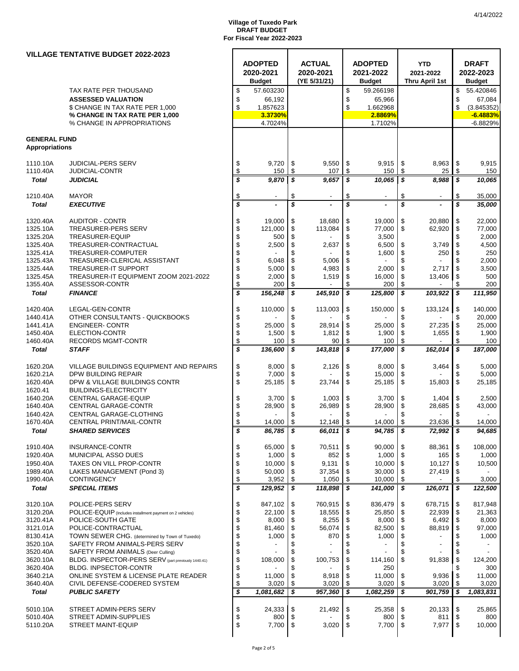|                          | <b>VILLAGE TENTATIVE BUDGET 2022-2023</b>                            |                             |                         |          |                       |          |                                   |                     |                |                          |                 |
|--------------------------|----------------------------------------------------------------------|-----------------------------|-------------------------|----------|-----------------------|----------|-----------------------------------|---------------------|----------------|--------------------------|-----------------|
|                          |                                                                      |                             | <b>ADOPTED</b>          |          | <b>ACTUAL</b>         |          | <b>ADOPTED</b>                    |                     | <b>YTD</b>     |                          | <b>DRAFT</b>    |
|                          |                                                                      |                             | 2020-2021               |          | 2020-2021             |          | 2021-2022                         |                     | 2021-2022      |                          | 2022-2023       |
|                          |                                                                      |                             | <b>Budget</b>           |          | (YE 5/31/21)          |          | <b>Budget</b>                     |                     | Thru April 1st |                          | <b>Budget</b>   |
|                          | TAX RATE PER THOUSAND                                                | \$                          | 57.603230               |          |                       | \$       | 59.266198                         |                     |                | \$                       | 55.420846       |
|                          | <b>ASSESSED VALUATION</b>                                            | \$                          | 66,192                  |          |                       | \$       | 65,966                            |                     |                | \$                       | 67,084          |
|                          | \$ CHANGE IN TAX RATE PER 1,000                                      | \$                          | 1.857623                |          |                       | \$       | 1.662968                          |                     |                | \$                       | (3.845352)      |
|                          | % CHANGE IN TAX RATE PER 1,000                                       |                             | 3.3730%                 |          |                       |          | 2.8869%                           |                     |                |                          | $-6.4883%$      |
|                          | % CHANGE IN APPROPRIATIONS                                           |                             | 4.7024%                 |          |                       |          | 1.7102%                           |                     |                |                          | $-6.8829%$      |
| <b>GENERAL FUND</b>      |                                                                      |                             |                         |          |                       |          |                                   |                     |                |                          |                 |
| <b>Appropriations</b>    |                                                                      |                             |                         |          |                       |          |                                   |                     |                |                          |                 |
|                          |                                                                      |                             |                         |          |                       |          |                                   |                     |                |                          |                 |
| 1110.10A                 | <b>JUDICIAL-PERS SERV</b>                                            | \$                          | 9,720                   | \$       | 9,550                 | \$       | 9,915                             | \$                  | 8,963          | \$                       | 9,915           |
| 1110.40A                 | <b>JUDICIAL-CONTR</b>                                                | $\frac{1}{2}$               | 150                     | \$       | 107                   | \$       | 150                               | \$                  | 25             | \$                       | 150             |
| <b>Total</b>             | <b>JUDICIAL</b>                                                      | \$                          | 9,870                   | \$       | 9,657                 | s        | 10,065                            | \$                  | 8,988          | \$                       | 10,065          |
|                          |                                                                      |                             |                         |          |                       |          |                                   |                     |                |                          |                 |
| 1210.40A<br><b>Total</b> | <b>MAYOR</b><br><b>EXECUTIVE</b>                                     | \$<br>\$                    |                         | \$<br>\$ | $\overline{a}$        | \$<br>\$ |                                   | \$<br>\$            |                | \$<br>\$                 | 35,000          |
|                          |                                                                      |                             |                         |          |                       |          |                                   |                     |                |                          | 35,000          |
| 1320.40A                 | <b>AUDITOR - CONTR</b>                                               | \$                          | 19,000                  | \$       | 18,680                | \$       | 19,000                            | \$                  | 20,880         | \$                       | 22,000          |
| 1325.10A                 | <b>TREASURER-PERS SERV</b>                                           | $\ddot{\$}$                 | 121,000                 | \$       | 113,084               | \$       | 77,000                            | \$                  | 62,920         | \$                       | 77,000          |
| 1325.20A                 | TREASURER-EQUIP                                                      |                             | 500                     | \$       |                       | \$       | 3,500                             |                     |                | \$                       | 2,000           |
| 1325.40A                 | TREASURER-CONTRACTUAL                                                | $\frac{3}{3}$               | 2,500                   | \$       | 2,637                 | \$       | 6,500                             | \$                  | 3,749          | \$                       | 4,500           |
| 1325.41A                 | TREASURER-COMPUTER                                                   | \$                          |                         | \$       |                       | \$       | 1,600                             | \$                  | 250            | -\$                      | 250             |
| 1325.43A                 | TREASURER-CLERICAL ASSISTANT                                         | \$                          | 6,048                   | \$       | 5,006                 | \$       |                                   | \$                  |                | \$                       | 2,000           |
| 1325.44A                 | <b>TREASURER-IT SUPPORT</b>                                          | \$                          | 5,000                   | \$       | 4,983                 | \$       | 2,000                             | \$                  | 2,717          | \$                       | 3,500           |
| 1325.45A                 | TREASURER-IT EQUIPMENT ZOOM 2021-2022<br>ASSESSOR-CONTR              | \$<br>$\ddot{\$}$           | 2,000                   | \$       | 1,519                 | \$<br>\$ | 16,000                            | \$<br>\$            | 13,406         | -\$                      | 500             |
| 1355.40A                 |                                                                      |                             | 200                     | \$<br>\$ | 145,910               | \$       | 200<br>125,800                    | \$                  |                | \$<br>$\boldsymbol{s}$   | 200             |
| <b>Total</b>             | <b>FINANCE</b>                                                       | \$                          | 156,248                 |          |                       |          |                                   |                     | 103,922        |                          | 111,950         |
| 1420.40A                 | LEGAL-GEN-CONTR                                                      | \$                          | 110,000                 | \$       | 113,003               | \$       | 150,000                           | \$                  | 133,124        | \$                       | 140,000         |
| 1440.41A                 | OTHER CONSULTANTS - QUICKBOOKS                                       | \$                          |                         | \$       |                       | \$       |                                   | \$                  |                | \$                       | 20,000          |
| 1441.41A                 | <b>ENGINEER- CONTR</b>                                               | \$                          | 25,000                  | \$       | 28,914                | \$       | 25,000                            | \$                  | 27,235         | \$                       | 25,000          |
| 1450.40A                 | ELECTION-CONTR                                                       | \$<br>\$                    | 1,500                   | \$       | 1,812                 | \$       | 1,900                             | \$                  | 1,655          | \$                       | 1,900           |
| 1460.40A                 | <b>RECORDS MGMT-CONTR</b>                                            |                             | 100                     | \$       | 90                    | \$       | 100                               | \$                  |                | \$                       | 100             |
| <b>Total</b>             | <b>STAFF</b>                                                         | \$                          | 136,600                 | \$       | 143,818               | \$       | 177,000                           | \$                  | 162,014        | \$                       | 187,000         |
|                          |                                                                      |                             |                         |          |                       |          |                                   |                     |                |                          |                 |
| 1620.20A                 | VILLAGE BUILDINGS EQUIPMENT AND REPAIRS                              | \$                          | 8,000                   | \$       | 2,126                 | \$       | 8,000                             | \$                  | 3,464          | \$                       | 5,000           |
| 1620.21A<br>1620.40A     | DPW BUILDING REPAIR<br>DPW & VILLAGE BUILDINGS CONTR                 | \$<br>\$                    | 7,000<br>25,185         | \$<br>\$ | 23,744                | \$<br>\$ | 15,000<br>25,185                  | \$<br>\$            | 15,803         | \$<br>\$                 | 5,000<br>25,185 |
| 1620.41                  | <b>BUILDINGS-ELECTRICITY</b>                                         |                             |                         |          |                       |          |                                   |                     |                |                          |                 |
| 1640.20A                 | CENTRAL GARAGE-EQUIP                                                 | \$                          | 3,700                   | \$       | 1,003                 | \$       | 3,700                             | \$                  | 1,404          | \$                       | 2,500           |
| 1640.40A                 | CENTRAL GARAGE-CONTR                                                 | \$                          | 28,900                  | \$       | 26,989                | \$       | 28,900                            | \$                  | 28,685         | -\$                      | 43,000          |
| 1640.42A                 | CENTRAL GARAGE-CLOTHING                                              | \$                          |                         | \$       |                       | \$       |                                   | \$                  |                |                          |                 |
| 1670.40A                 | CENTRAL PRINT/MAIL-CONTR                                             | \$                          | 14,000                  | \$       | 12,148                | \$       | 14,000                            | \$                  | 23,636         | \$                       | 14,000          |
| Total                    | <b>SHARED SERVICES</b>                                               | \$                          | 86,785                  | -S       | 66,011   \$           |          | 94,785   \$                       |                     | 72,992   \$    |                          | 94,685          |
|                          |                                                                      |                             |                         |          |                       |          |                                   |                     |                |                          |                 |
| 1910.40A                 | INSURANCE-CONTR                                                      | \$                          | 65,000                  | \$       | 70,511                | \$       | 90,000                            | \$                  | 88,361         | \$                       | 108,000         |
| 1920.40A<br>1950.40A     | MUNICIPAL ASSO DUES<br><b>TAXES ON VILL PROP-CONTR</b>               | \$<br>\$                    | 1,000<br>10,000         | \$       | 852<br>9,131          | \$<br>\$ | 1,000<br>10,000                   | \$<br>\$            | 165<br>10,127  | $\sqrt{3}$<br>l \$       | 1,000           |
| 1989.40A                 | LAKES MANAGEMENT (Pond 3)                                            | \$                          | 50,000                  | \$<br>\$ | 37,354                | \$       | 30,000                            | \$                  | 27,419         | -\$                      | 10,500          |
| 1990.40A                 | <b>CONTINGENCY</b>                                                   | \$                          | 3,952                   | \$       | 1,050                 | \$       | 10,000                            | \$                  |                | \$                       | 3,000           |
| <b>Total</b>             | <b>SPECIAL ITEMS</b>                                                 | $\overline{\boldsymbol{s}}$ | 129,952                 | \$       | 118,898               | \$       | 141,000                           | \$                  | 126,071        | \$                       | 122,500         |
|                          |                                                                      |                             |                         |          |                       |          |                                   |                     |                |                          |                 |
| 3120.10A                 | POLICE-PERS SERV                                                     | \$                          | 847,102                 | \$       | 760,915               | \$       | 836,479                           | \$                  | 678,715        | \$                       | 817,948         |
| 3120.20A                 | POLICE-EQUIP (Includes installment payment on 2 vehicles)            | \$                          | 22,100                  | \$       | 18,555                | \$       | 25,850                            | \$                  | 22,939         | \$                       | 21,363          |
| 3120.41A                 | POLICE-SOUTH GATE                                                    | $\ddot{\$}$                 | 8,000                   | \$       | 8,255                 | \$       | 8,000                             | \$                  | 6,492          | l \$                     | 8,000           |
| 3121.01A<br>8130.41A     | POLICE-CONTRACTUAL<br>TOWN SEWER CHG. (determined by Town of Tuxedo) | $\ddot{\$}$                 | 81,460                  | \$<br>\$ | 56,074                | \$<br>\$ | 82,500                            | \$<br>\$            | 88,819         | \$<br>\$                 | 97,000          |
| 3520.10A                 | SAFETY FROM ANIMALS-PERS SERV                                        |                             | 1,000<br>$\blacksquare$ | \$       | 870<br>$\blacksquare$ | \$       | 1,000<br>$\overline{\phantom{a}}$ | \$                  | $\blacksquare$ | \$                       | 1,000           |
| 3520.40A                 | SAFETY FROM ANIMALS (Deer Culling)                                   | \$\$\$\$                    |                         | \$       |                       | \$       |                                   | \$                  |                | \$                       |                 |
| 3620.10A                 | BLDG. INSPECTOR-PERS SERV (part previously 1440.41)                  |                             | 108,000                 | \$       | 100,753               | \$       | 114,160                           | \$                  | 91,838         | \$                       | 124,200         |
| 3620.40A                 | BLDG. INPSECTOR-CONTR                                                | \$                          |                         | \$       |                       | \$       | 250                               |                     |                | \$                       | 300             |
| 3640.21A                 | ONLINE SYSTEM & LICENSE PLATE READER                                 | \$                          | 11,000                  | \$       | 8,918                 | \$       | 11,000                            | \$                  | 9,936          | <b>\$</b>                | 11,000          |
| 3640.40A                 | CIVIL DEFENSE-CODERED SYSTEM                                         | \$                          | 3,020                   | \$       | 3,020                 | \$       | 3,020                             | \$                  | 3,020          | -\$                      | 3,020           |
| <b>Total</b>             | <b>PUBLIC SAFETY</b>                                                 | \$                          | 1,081,682               | \$       | 957,360               | S        | 1,082,259                         | \$                  | 901,759        | -\$                      | 1,083,831       |
|                          |                                                                      |                             |                         |          |                       |          |                                   |                     |                |                          |                 |
| 5010.10A                 | STREET ADMIN-PERS SERV                                               | \$                          | 24,333<br>800           | \$       | 21,492                | \$<br>\$ | 25,358                            | \$<br>$\mathfrak s$ | 20,133         | $\sqrt{3}$<br>$\sqrt{3}$ | 25,865<br>800   |
| 5010.40A<br>5110.20A     | STREET ADMIN-SUPPLIES<br><b>STREET MAINT-EQUIP</b>                   | \$<br>\$                    | 7,700                   | \$<br>\$ | 3,020                 | \$       | 800<br>7,700                      | \$                  | 811<br>7,977   | $\sqrt{3}$               | 10,000          |
|                          |                                                                      |                             |                         |          |                       |          |                                   |                     |                |                          |                 |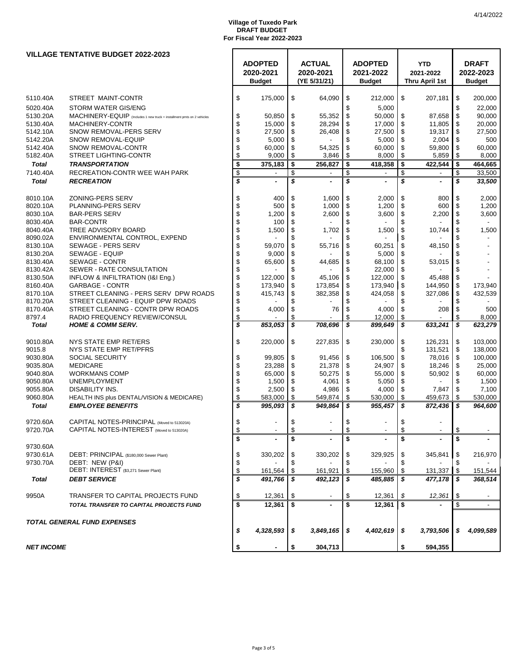|                   | <b>VILLAGE TENTATIVE BUDGET 2022-2023</b>                              |                         |                                              |      |                                            |      |                                              |                                           |    |                                            |
|-------------------|------------------------------------------------------------------------|-------------------------|----------------------------------------------|------|--------------------------------------------|------|----------------------------------------------|-------------------------------------------|----|--------------------------------------------|
|                   |                                                                        |                         | <b>ADOPTED</b><br>2020-2021<br><b>Budget</b> |      | <b>ACTUAL</b><br>2020-2021<br>(YE 5/31/21) |      | <b>ADOPTED</b><br>2021-2022<br><b>Budget</b> | <b>YTD</b><br>2021-2022<br>Thru April 1st |    | <b>DRAFT</b><br>2022-2023<br><b>Budget</b> |
|                   |                                                                        |                         |                                              |      |                                            |      |                                              |                                           |    |                                            |
| 5110.40A          | STREET MAINT-CONTR                                                     | \$                      | 175,000                                      | \$   | 64,090                                     | \$   | 212,000                                      | \$<br>207,181                             | \$ | 200,000                                    |
| 5020.40A          | <b>STORM WATER GIS/ENG</b>                                             |                         |                                              |      |                                            | \$   | 5,000                                        |                                           | \$ | 22,000                                     |
| 5130.20A          | MACHINERY-EQUIP (Includes 1 new truck + installment pmts on 2 vehicles | \$                      | 50,850                                       | \$   | 55,352                                     | \$   | 50,000                                       | \$<br>87,658                              | \$ | 90,000                                     |
| 5130.40A          | MACHINERY-CONTR                                                        | \$                      | 15,000                                       | \$   | 28,294                                     | \$   | 17,000                                       | \$<br>11,805                              | \$ | 20,000                                     |
| 5142.10A          | SNOW REMOVAL-PERS SERV                                                 | \$                      | 27,500                                       | \$   | 26,408                                     | \$   | 27,500                                       | \$<br>19,317                              | \$ | 27,500                                     |
| 5142.20A          | SNOW REMOVAL-EQUIP                                                     | \$                      | 5,000                                        | \$   |                                            | \$   | 5,000                                        | \$<br>2,004                               | \$ | 500                                        |
| 5142.40A          | SNOW REMOVAL-CONTR                                                     | \$                      | 60,000                                       | \$   | 54,325                                     | \$   | 60,000                                       | \$<br>59,800                              | \$ | 60,000                                     |
| 5182.40A          | <b>STREET LIGHTING-CONTR</b>                                           | \$                      | 9,000                                        | \$   | 3,846                                      | \$   | 8,000                                        | \$<br>5,859                               | \$ | 8,000                                      |
| <b>Total</b>      | <b>TRANSPORTATION</b>                                                  | \$                      | 375,183                                      | \$   | 256.827                                    | \$   | 418,358                                      | \$<br>422,544                             | \$ | 464,665                                    |
| 7140.40A          | RECREATION-CONTR WEE WAH PARK                                          | \$                      |                                              | \$   | $\blacksquare$                             | \$   |                                              | \$                                        | \$ | 33,500                                     |
| <b>Total</b>      | <b>RECREATION</b>                                                      | \$                      |                                              | \$   | $\blacksquare$                             | \$   | $\tilde{\phantom{a}}$                        | \$<br>$\blacksquare$                      | \$ | 33,500                                     |
|                   |                                                                        |                         |                                              |      |                                            |      |                                              |                                           |    |                                            |
| 8010.10A          | ZONING-PERS SERV                                                       | \$                      | 400                                          | \$   | 1,600                                      | \$   | 2,000                                        | \$<br>800                                 | \$ | 2,000                                      |
| 8020.10A          | PLANNING-PERS SERV                                                     | \$                      | 500                                          | \$   | 1,000                                      | \$   | 1,200                                        | \$<br>600                                 | \$ | 1,200                                      |
| 8030.10A          | <b>BAR-PERS SERV</b>                                                   | \$                      | 1,200                                        | \$   | 2,600                                      | \$   | 3,600                                        | \$<br>2,200                               | \$ | 3,600                                      |
| 8030.40A          | <b>BAR-CONTR</b>                                                       | \$                      | 100                                          | \$   |                                            | \$   | $\overline{\phantom{a}}$                     | \$                                        | \$ |                                            |
| 8040.40A          | TREE ADVISORY BOARD                                                    | \$                      | 1,500                                        | \$   | 1,702                                      | \$   | 1,500                                        | \$<br>10,744                              | \$ | 1,500                                      |
| 8090.02A          | ENVIRONMENTAL CONTROL, EXPEND                                          | \$                      |                                              | \$   |                                            | \$   |                                              | \$                                        |    |                                            |
| 8130.10A          | SEWAGE - PERS SERV                                                     | \$                      | 59,070                                       | \$   | 55,716                                     | \$   | 60,251                                       | \$<br>48,150                              | \$ |                                            |
| 8130.20A          | SEWAGE - EQUIP                                                         | \$                      | 9,000                                        | \$   |                                            | \$   | 5,000                                        | \$                                        |    |                                            |
| 8130.40A          | SEWAGE - CONTR                                                         | \$                      | 65,600                                       | \$   | 44,685                                     | \$   | 68,100                                       | \$<br>53,015                              | \$ |                                            |
| 8130.42A          | SEWER - RATE CONSULTATION                                              | \$                      |                                              | \$   |                                            | \$   | 22,000                                       | \$                                        | \$ |                                            |
| 8130.50A          | INFLOW & INFILTRATION (I&I Eng.)                                       | \$                      | 122,000                                      | \$   | 45,106                                     | \$   | 122,000                                      | \$<br>45,488                              | \$ |                                            |
| 8160.40A          | <b>GARBAGE - CONTR</b>                                                 | \$                      | 173,940                                      | \$   | 173,854                                    | \$   | 173,940                                      | \$<br>144,950                             | \$ | 173,940                                    |
| 8170.10A          | STREET CLEANING - PERS SERV DPW ROADS                                  | \$                      | 415,743                                      | \$   | 382,358                                    | \$   | 424,058                                      | \$<br>327,086                             | \$ | 432,539                                    |
| 8170.20A          | STREET CLEANING - EQUIP DPW ROADS                                      | \$                      |                                              | \$   |                                            | \$   |                                              | \$                                        | \$ |                                            |
| 8170.40A          | STREET CLEANING - CONTR DPW ROADS                                      | \$                      | 4,000                                        | \$   | 76                                         | \$   | 4,000                                        | \$<br>208                                 | \$ | 500                                        |
| 8797.4            | RADIO FREQUENCY REVIEW/CONSUL                                          | \$                      |                                              | \$   |                                            | \$   | 12,000                                       | \$                                        | \$ | 8,000                                      |
| <b>Total</b>      | <b>HOME &amp; COMM SERV.</b>                                           | \$                      | 853,053                                      | \$   | 708,696                                    | \$   | 899,649                                      | \$<br>633,241                             | \$ | 623,279                                    |
| 9010.80A          | NYS STATE EMP RET/ERS                                                  | \$                      | 220,000                                      | \$   | 227,835                                    | \$   | 230,000                                      | \$<br>126,231                             | \$ | 103,000                                    |
| 9015.8            | NYS STATE EMP RET/PFRS                                                 |                         |                                              |      |                                            |      |                                              | \$<br>131,521                             | \$ | 138,000                                    |
| 9030.80A          | <b>SOCIAL SECURITY</b>                                                 | \$                      | 99,805                                       | \$   | 91,456                                     | \$   | 106,500                                      | \$<br>78,016                              | \$ | 100,000                                    |
| 9035.80A          | <b>MEDICARE</b>                                                        | \$                      | 23,288                                       | \$   | 21,378                                     | \$   | 24,907                                       | \$<br>18,246                              | \$ | 25,000                                     |
| 9040.80A          | <b>WORKMANS COMP</b>                                                   | \$                      | 65,000                                       | \$   | 50,275                                     | \$   | 55,000                                       | \$<br>50,902                              | \$ | 60,000                                     |
| 9050.80A          | <b>UNEMPLOYMENT</b>                                                    | \$                      | 1,500                                        | \$   | 4,061                                      | \$   | 5,050                                        | \$                                        | \$ | 1,500                                      |
| 9055.80A          | <b>DISABILITY INS.</b>                                                 | \$                      | 2,500                                        | \$   | 4,986                                      | \$   | 4,000                                        | \$<br>7,847                               | \$ | 7,100                                      |
| 9060.80A          | HEALTH INS plus DENTAL/VISION & MEDICARE)                              | \$                      | 583,000                                      | \$   | 549,874                                    | \$   | 530,000                                      | \$<br>459,673                             | \$ | 530,000                                    |
| <b>Total</b>      | <b>EMPLOYEE BENEFITS</b>                                               | $\overline{\mathbf{s}}$ | 995,093                                      | \$   | 949,864                                    | \$   | 955,457                                      | \$<br>872,436                             | \$ | 964,600                                    |
| 9720.60A          | CAPITAL NOTES-PRINCIPAL (Moved to 513020A)                             | \$                      | $\overline{\phantom{a}}$                     | \$   | $\blacksquare$                             | \$   |                                              | \$                                        |    |                                            |
| 9720.70A          | CAPITAL NOTES-INTEREST (Moved to 513020A)                              | S                       |                                              |      |                                            |      |                                              |                                           |    |                                            |
|                   |                                                                        | \$                      |                                              | \$   |                                            |      |                                              |                                           |    |                                            |
| 9730.60A          |                                                                        |                         |                                              |      |                                            |      |                                              |                                           |    |                                            |
| 9730.61A          | DEBT: PRINCIPAL (\$180,000 Sewer Plant)                                | \$                      | 330,202                                      | \$   | 330,202                                    | \$   | 329,925                                      | \$<br>345,841                             | \$ | 216,970                                    |
| 9730.70A          | DEBT: NEW (P&I)                                                        | \$                      |                                              | \$   |                                            | \$   |                                              | \$                                        | \$ |                                            |
|                   | DEBT: INTEREST (\$3,271 Sewer Plant)                                   | \$                      | 161,564                                      | \$   | 161,921                                    | \$   | 155,960                                      | \$<br>131,337                             | \$ | 151,544                                    |
| Total             | <b>DEBT SERVICE</b>                                                    | \$                      | 491,766                                      | S    | 492, 123                                   | \$   | 485,885                                      | \$<br>477,178                             | \$ | 368,514                                    |
| 9950A             | TRANSFER TO CAPITAL PROJECTS FUND                                      | \$                      | 12,361                                       | \$   |                                            | \$   | 12,361                                       | \$<br>12,361                              | \$ |                                            |
|                   | TOTAL TRANSFER TO CAPITAL PROJECTS FUND                                | s                       | 12,361                                       | \$   |                                            | \$   | 12,361                                       | \$                                        | \$ |                                            |
|                   | <b>TOTAL GENERAL FUND EXPENSES</b>                                     |                         |                                              |      |                                            |      |                                              |                                           |    |                                            |
|                   |                                                                        | \$                      | 4,328,593                                    | - \$ | 3,849,165                                  | - \$ | 4,402,619                                    | \$<br>3,793,506                           | S  | 4,099,589                                  |
| <b>NET INCOME</b> |                                                                        | \$                      |                                              | \$   | 304,713                                    |      |                                              | \$<br>594,355                             |    |                                            |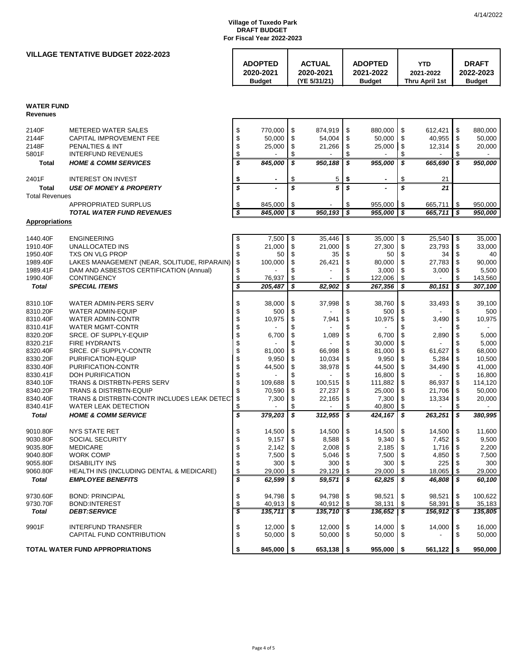## **VILLAGE TENTATIVE BUDGET 2022-2023**

| <b>ADOPTED</b><br><b>ACTUAL</b><br><b>ADOPTED</b>                                     | YTD                                | <b>DRAFT</b>               |
|---------------------------------------------------------------------------------------|------------------------------------|----------------------------|
| 2020-2021<br>2020-2021<br>2021-2022<br>(YE 5/31/21)<br><b>Budget</b><br><b>Budget</b> | 2021-2022<br><b>Thru April 1st</b> | 2022-2023<br><b>Budget</b> |

# **WATER FUND**

**Revenues**

| 2140F<br>2144F<br>2148F<br>5801F | <b>METERED WATER SALES</b><br>CAPITAL IMPROVEMENT FEE<br><b>PENALTIES &amp; INT</b><br><b>INTERFUND REVENUES</b> | \$<br>\$<br>\$<br>\$ | 770.000<br>50,000<br>25,000 | \$<br>\$<br>\$<br>\$    | 874,919<br>54,004<br>21,266 | \$<br>\$<br>\$<br>\$    | 880.000<br>50,000<br>25,000 | \$<br>\$<br>\$<br>\$ | 612,421<br>40,955<br>12,314 | \$<br>\$<br>\$<br>\$    | 880.000<br>50,000<br>20,000 |
|----------------------------------|------------------------------------------------------------------------------------------------------------------|----------------------|-----------------------------|-------------------------|-----------------------------|-------------------------|-----------------------------|----------------------|-----------------------------|-------------------------|-----------------------------|
| <b>Total</b>                     | <b>HOME &amp; COMM SERVICES</b>                                                                                  | \$                   | 845,000                     | \$                      | 950,188                     | \$                      | 955,000                     | s                    | 665,690                     | \$                      | 950,000                     |
| 2401F                            | <b>INTEREST ON INVEST</b>                                                                                        | \$                   |                             | \$                      | 5                           | \$                      |                             | \$                   | 21                          |                         |                             |
| <b>Total</b>                     | <b>USE OF MONEY &amp; PROPERTY</b>                                                                               | \$                   |                             | $\overline{\mathbf{s}}$ | 5                           | $\overline{\mathbf{s}}$ |                             | \$                   | 21                          |                         |                             |
| <b>Total Revenues</b>            |                                                                                                                  |                      |                             |                         |                             |                         |                             |                      |                             |                         |                             |
|                                  | APPROPRIATED SURPLUS                                                                                             | \$                   | 845,000                     | \$                      |                             | \$                      | 955,000                     | \$                   | 665,711                     | \$                      | 950,000                     |
|                                  | <b>TOTAL WATER FUND REVENUES</b>                                                                                 | \$                   | 845.000                     | \$                      | 950.193                     | \$                      | 955.000                     | s                    | 665.711                     | \$                      | 950.000                     |
| <b>Appropriations</b>            |                                                                                                                  |                      |                             |                         |                             |                         |                             |                      |                             |                         |                             |
| 1440.40F                         | <b>ENGINEERING</b>                                                                                               | \$                   | 7,500                       | \$                      | 35,446                      | \$                      | 35,000                      | \$                   | 25,540                      | \$                      | 35,000                      |
| 1910.40F                         | <b>UNALLOCATED INS</b>                                                                                           | \$                   | 21,000                      | \$                      | 21,000                      | \$                      | 27,300                      | \$                   | 23,793                      | \$                      | 33,000                      |
| 1950.40F                         | TXS ON VLG PROP                                                                                                  | \$                   | 50                          | \$                      | 35                          | \$                      | 50                          | \$                   | 34                          | \$                      | 40                          |
| 1989.40F                         | LAKES MANAGEMENT (NEAR, SOLITUDE, RIPARAIN)                                                                      | \$                   | 100,000                     | \$                      | 26,421                      | \$                      | 80.000                      | \$                   | 27,783                      | \$                      | 90,000                      |
| 1989.41F                         | DAM AND ASBESTOS CERTIFICATION (Annual)                                                                          | \$                   |                             | \$                      |                             | \$                      | 3,000                       | \$                   | 3,000                       | \$<br>\$                | 5,500                       |
| 1990.40F                         | <b>CONTINGENCY</b>                                                                                               | \$<br>\$             | 76,937                      | \$                      |                             | \$<br>\$                | 122,006                     | \$                   |                             | $\overline{\mathbf{s}}$ | 143,560                     |
| <b>Total</b>                     | <b>SPECIAL ITEMS</b>                                                                                             |                      | 205,487                     | \$                      | 82,902                      |                         | 267,356                     | \$                   | 80,151                      |                         | 307,100                     |
| 8310.10F                         | WATER ADMIN-PERS SERV                                                                                            | \$                   | 38,000                      | \$                      | 37,998                      | \$                      | 38,760                      | \$                   | 33,493                      | \$                      | 39,100                      |
| 8310.20F                         | <b>WATER ADMIN-EQUIP</b>                                                                                         | \$                   | 500                         | \$                      |                             | \$                      | 500                         | \$                   |                             | \$                      | 500                         |
| 8310.40F                         | <b>WATER ADMIN-CONTR</b>                                                                                         | \$                   | 10,975                      | \$                      | 7,941                       | \$                      | 10,975                      | \$                   | 3,490                       | \$                      | 10,975                      |
| 8310.41F                         | <b>WATER MGMT-CONTR</b>                                                                                          | \$                   |                             | \$                      |                             | \$                      |                             | \$                   |                             | \$                      |                             |
| 8320.20F                         | SRCE, OF SUPPLY-EQUIP                                                                                            | \$                   | 6.700                       | \$                      | 1.089                       | \$                      | 6.700                       | \$                   | 2,890                       | \$                      | 5.000                       |
| 8320.21F                         | <b>FIRE HYDRANTS</b>                                                                                             | \$                   |                             | \$                      |                             | \$                      | 30,000                      | \$                   |                             | \$                      | 5,000                       |
| 8320.40F                         | SRCE. OF SUPPLY-CONTR                                                                                            | \$                   | 81,000                      | \$                      | 66,998                      | \$                      | 81,000                      | \$                   | 61,627                      | \$                      | 68,000                      |
| 8330.20F                         | PURIFICATION-EQUIP                                                                                               | \$                   | 9,950                       | \$                      | 10,034                      | \$                      | 9,950                       | \$                   | 5,284                       | \$                      | 10,500                      |
| 8330.40F                         | PURIFICATION-CONTR                                                                                               | \$                   | 44,500                      | \$                      | 38,978                      | \$                      | 44,500                      | \$                   | 34,490                      | \$                      | 41,000                      |
| 8330.41F                         | <b>DOH PURIFICATION</b>                                                                                          | \$                   |                             | \$                      |                             | \$                      | 16.800                      | \$                   |                             | \$                      | 16,800                      |
| 8340.10F                         | <b>TRANS &amp; DISTRBTN-PERS SERV</b>                                                                            | \$                   | 109,688                     | \$                      | 100,515                     | \$                      | 111,882                     | \$                   | 86,937                      | \$                      | 114,120                     |
| 8340.20F                         | <b>TRANS &amp; DISTRBTN-EQUIP</b>                                                                                | \$                   | 70,590                      | \$                      | 27,237                      | \$                      | 25,000                      | \$                   | 21,706                      | \$                      | 50,000                      |
| 8340.40F                         | TRANS & DISTRBTN-CONTR INCLUDES LEAK DETEC                                                                       | \$                   | 7,300                       | \$                      | 22,165                      | \$                      | 7,300                       | \$                   | 13,334                      | \$                      | 20,000                      |
| 8340.41F                         | <b>WATER LEAK DETECTION</b><br><b>HOME &amp; COMM SERVICE</b>                                                    | \$<br>\$             |                             | \$<br>\$                |                             | \$<br>\$                | 40,800                      | \$<br>\$             |                             | \$<br>\$                |                             |
| <b>Total</b>                     |                                                                                                                  |                      | 379,203                     |                         | 312,955                     |                         | 424.167                     |                      | 263.251                     |                         | 380,995                     |
| 9010.80F                         | <b>NYS STATE RET</b>                                                                                             | \$                   | 14,500                      | \$                      | 14,500                      | \$                      | 14,500                      | \$                   | 14,500                      | \$                      | 11,600                      |
| 9030.80F                         | SOCIAL SECURITY                                                                                                  | \$                   | 9,157                       | \$                      | 8,588                       | \$                      | 9,340                       | \$                   | 7,452                       | \$                      | 9,500                       |
| 9035.80F                         | <b>MEDICARE</b>                                                                                                  | \$                   | 2.142                       | \$                      | 2,008                       | \$                      | 2.185                       | \$                   | 1.716                       | \$                      | 2,200                       |
| 9040.80F                         | <b>WORK COMP</b>                                                                                                 | \$                   | 7,500                       | \$                      | 5,046                       | \$                      | 7,500                       | \$                   | 4,850                       | \$                      | 7,500                       |
| 9055.80F                         | <b>DISABILITY INS</b>                                                                                            | \$                   | 300                         | \$                      | 300                         | \$                      | 300                         | \$                   | 225                         | \$                      | 300                         |
| 9060.80F                         | HEALTH INS (INCLUDING DENTAL & MEDICARE)                                                                         | \$                   | 29,000                      | \$                      | 29,129                      | \$                      | 29,000                      | \$                   | 18,065                      | \$                      | 29,000                      |
| <b>Total</b>                     | <b>EMPLOYEE BENEFITS</b>                                                                                         | \$                   | 62,599                      | \$                      | 59,571                      | \$                      | 62,825                      | \$                   | 46,808                      | \$                      | 60,100                      |
| 9730.60F                         | <b>BOND: PRINCIPAL</b>                                                                                           | \$                   | 94,798                      | \$                      | 94,798                      | \$                      | 98,521                      | \$                   | 98,521                      | \$                      | 100,622                     |
| 9730.70F                         | <b>BOND:INTEREST</b>                                                                                             | \$                   | 40,913                      | \$                      | 40,912                      | \$                      | 38,131                      | \$                   | 58,391                      | \$                      | 35,183                      |
| <b>Total</b>                     | <b>DEBT:SERVICE</b>                                                                                              | \$                   | 135,711                     | \$                      | 135,710                     | \$                      | 136,652                     | 3                    | 156,912                     | \$                      | 135,805                     |
| 9901F                            | <b>INTERFUND TRANSFER</b>                                                                                        | \$                   | 12,000                      | \$                      | 12,000                      | \$                      | 14.000                      | \$                   | 14,000                      | \$                      | 16.000                      |
|                                  | CAPITAL FUND CONTRIBUTION                                                                                        | \$                   | 50.000                      | \$                      | 50,000                      | \$                      | 50,000                      | \$                   |                             | \$                      | 50.000                      |
|                                  |                                                                                                                  |                      |                             |                         |                             |                         |                             |                      |                             |                         |                             |
|                                  | <b>TOTAL WATER FUND APPROPRIATIONS</b>                                                                           | \$                   | 845,000                     | \$                      | 653,138                     | \$                      | 955.000                     | \$                   | 561,122                     | -\$                     | 950.000                     |